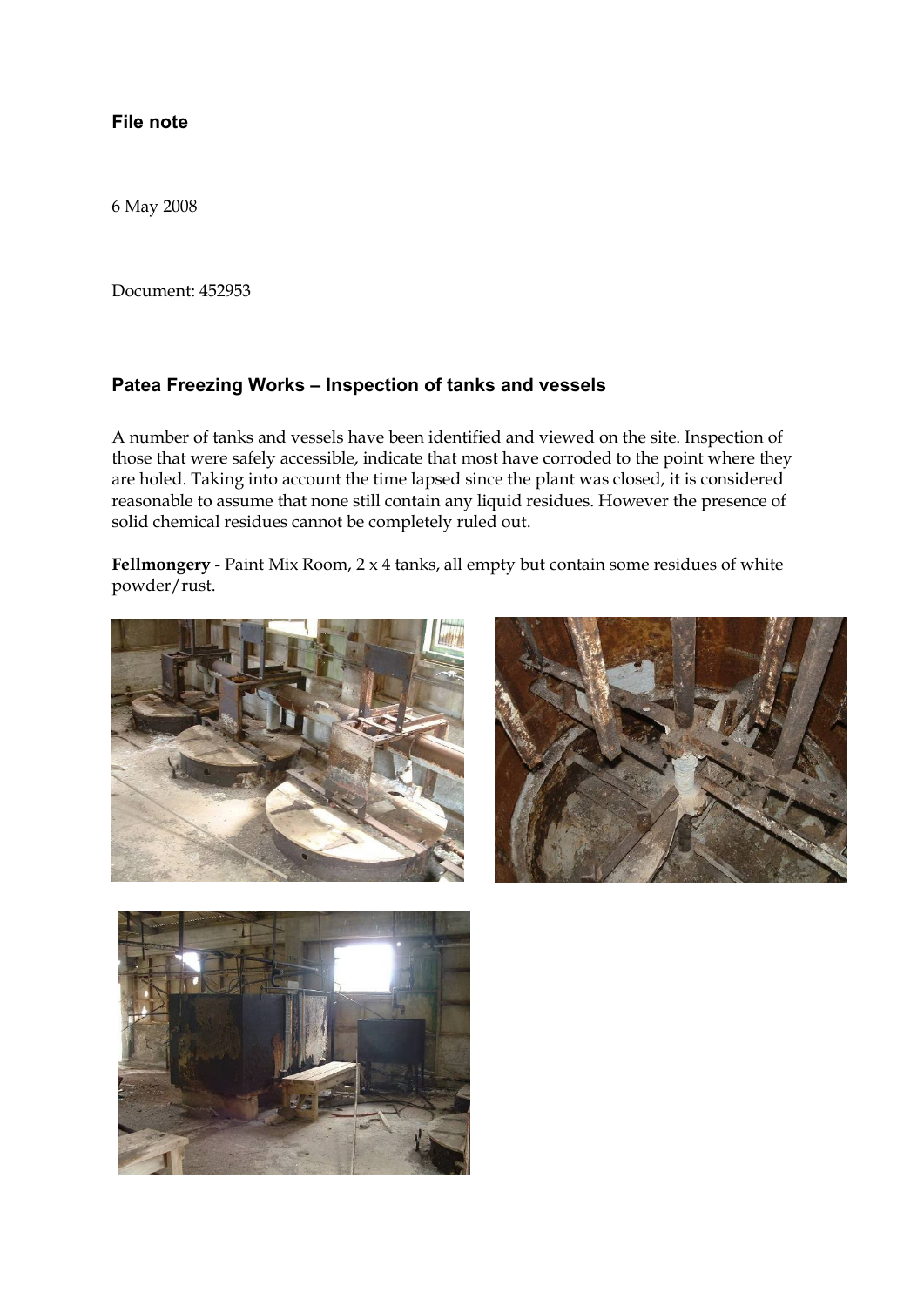## **File note**

6 May 2008

Document: 452953

## **Patea Freezing Works – Inspection of tanks and vessels**

A number of tanks and vessels have been identified and viewed on the site. Inspection of those that were safely accessible, indicate that most have corroded to the point where they are holed. Taking into account the time lapsed since the plant was closed, it is considered reasonable to assume that none still contain any liquid residues. However the presence of solid chemical residues cannot be completely ruled out.

**Fellmongery** - Paint Mix Room, 2 x 4 tanks, all empty but contain some residues of white powder/rust.





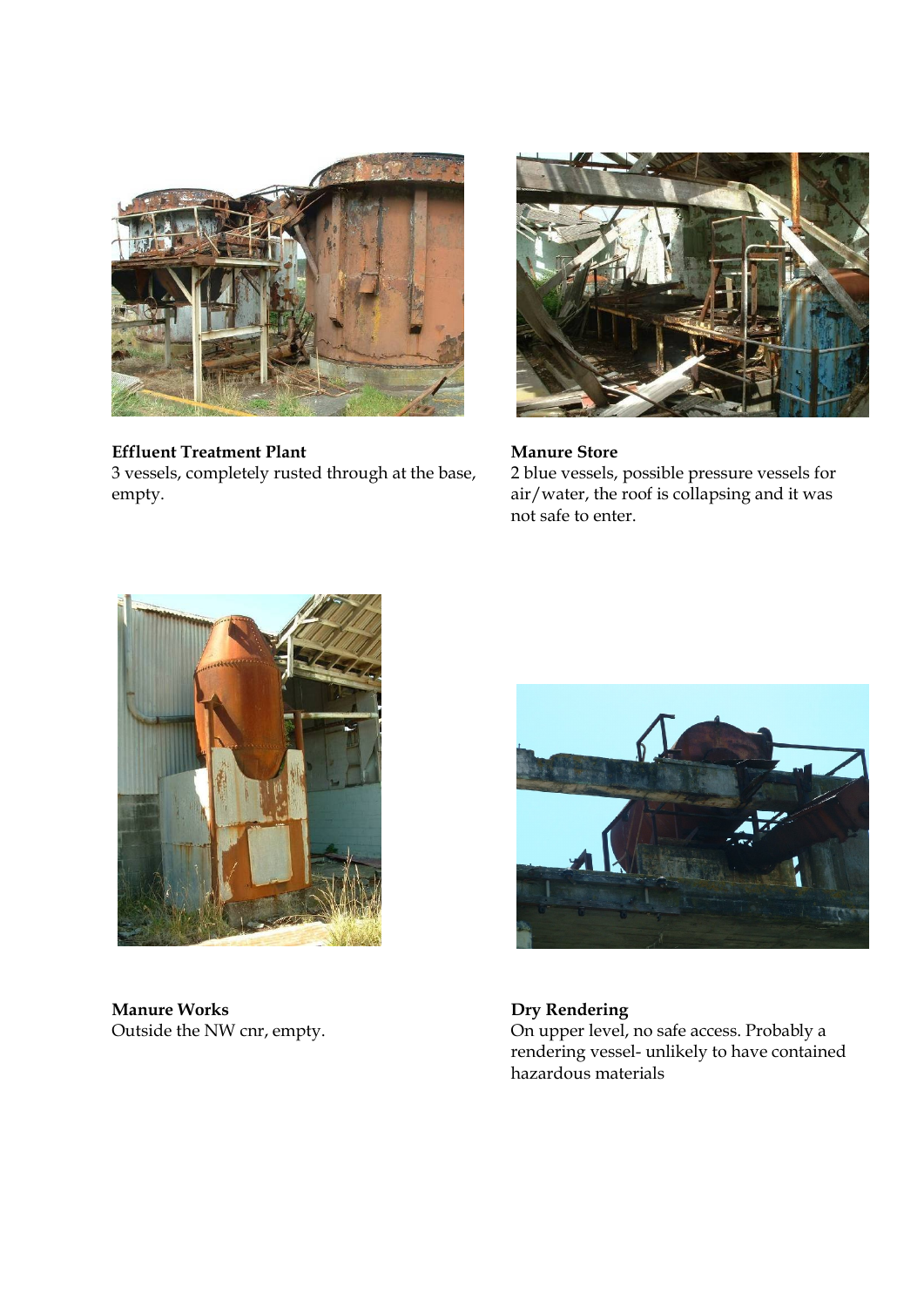

# **Effluent Treatment Plant Manure Store**

3 vessels, completely rusted through at the base, empty.



2 blue vessels, possible pressure vessels for air/water, the roof is collapsing and it was not safe to enter.



**Manure Works Dry Rendering**<br> **Dry Rendering**<br>
On upper level,



On upper level, no safe access. Probably a rendering vessel- unlikely to have contained hazardous materials